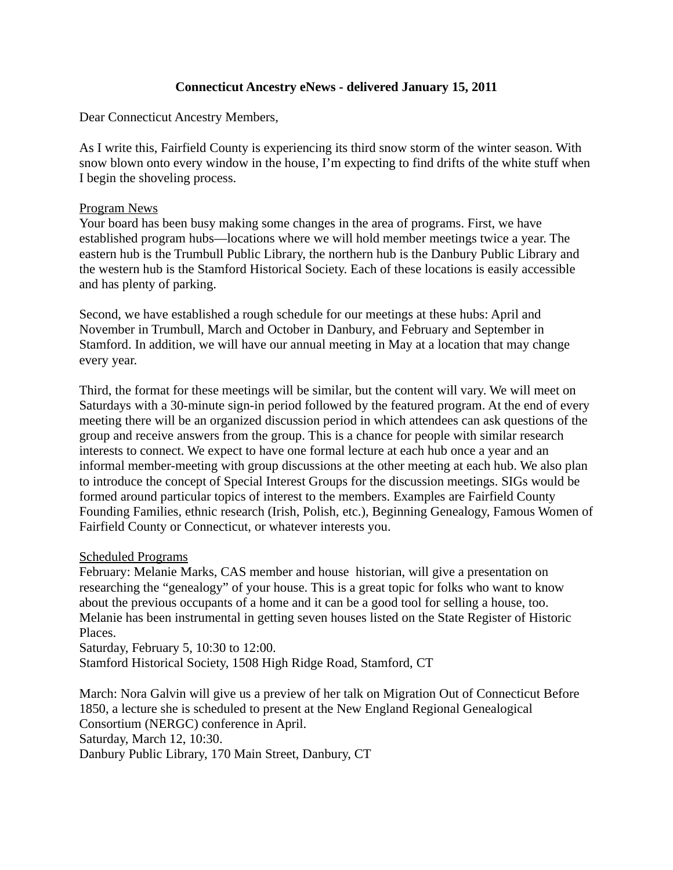## **Connecticut Ancestry eNews - delivered January 15, 2011**

Dear Connecticut Ancestry Members,

As I write this, Fairfield County is experiencing its third snow storm of the winter season. With snow blown onto every window in the house, I'm expecting to find drifts of the white stuff when I begin the shoveling process.

## Program News

Your board has been busy making some changes in the area of programs. First, we have established program hubs—locations where we will hold member meetings twice a year. The eastern hub is the Trumbull Public Library, the northern hub is the Danbury Public Library and the western hub is the Stamford Historical Society. Each of these locations is easily accessible and has plenty of parking.

Second, we have established a rough schedule for our meetings at these hubs: April and November in Trumbull, March and October in Danbury, and February and September in Stamford. In addition, we will have our annual meeting in May at a location that may change every year.

Third, the format for these meetings will be similar, but the content will vary. We will meet on Saturdays with a 30-minute sign-in period followed by the featured program. At the end of every meeting there will be an organized discussion period in which attendees can ask questions of the group and receive answers from the group. This is a chance for people with similar research interests to connect. We expect to have one formal lecture at each hub once a year and an informal member-meeting with group discussions at the other meeting at each hub. We also plan to introduce the concept of Special Interest Groups for the discussion meetings. SIGs would be formed around particular topics of interest to the members. Examples are Fairfield County Founding Families, ethnic research (Irish, Polish, etc.), Beginning Genealogy, Famous Women of Fairfield County or Connecticut, or whatever interests you.

## Scheduled Programs

February: Melanie Marks, CAS member and house historian, will give a presentation on researching the "genealogy" of your house. This is a great topic for folks who want to know about the previous occupants of a home and it can be a good tool for selling a house, too. Melanie has been instrumental in getting seven houses listed on the State Register of Historic Places.

Saturday, February 5, 10:30 to 12:00. Stamford Historical Society, 1508 High Ridge Road, Stamford, CT

March: Nora Galvin will give us a preview of her talk on Migration Out of Connecticut Before 1850, a lecture she is scheduled to present at the New England Regional Genealogical Consortium (NERGC) conference in April. Saturday, March 12, 10:30. Danbury Public Library, 170 Main Street, Danbury, CT